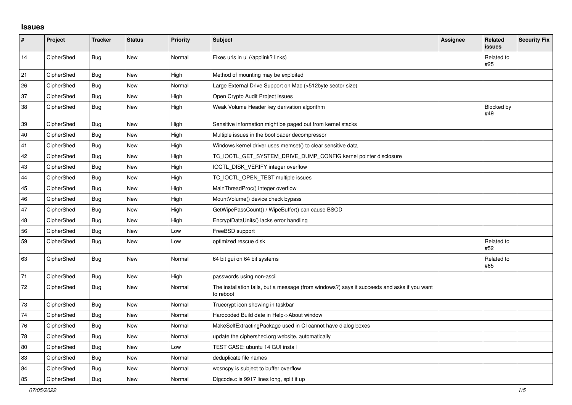## **Issues**

| $\pmb{\#}$ | Project    | <b>Tracker</b> | <b>Status</b> | <b>Priority</b> | <b>Subject</b>                                                                                           | <b>Assignee</b> | Related<br><b>issues</b> | <b>Security Fix</b> |
|------------|------------|----------------|---------------|-----------------|----------------------------------------------------------------------------------------------------------|-----------------|--------------------------|---------------------|
| 14         | CipherShed | <b>Bug</b>     | <b>New</b>    | Normal          | Fixes urls in ui (/applink? links)                                                                       |                 | Related to<br>#25        |                     |
| 21         | CipherShed | Bug            | <b>New</b>    | High            | Method of mounting may be exploited                                                                      |                 |                          |                     |
| 26         | CipherShed | Bug            | New           | Normal          | Large External Drive Support on Mac (>512byte sector size)                                               |                 |                          |                     |
| 37         | CipherShed | Bug            | <b>New</b>    | High            | Open Crypto Audit Project issues                                                                         |                 |                          |                     |
| 38         | CipherShed | <b>Bug</b>     | New           | High            | Weak Volume Header key derivation algorithm                                                              |                 | <b>Blocked by</b><br>#49 |                     |
| 39         | CipherShed | Bug            | <b>New</b>    | High            | Sensitive information might be paged out from kernel stacks                                              |                 |                          |                     |
| 40         | CipherShed | Bug            | New           | High            | Multiple issues in the bootloader decompressor                                                           |                 |                          |                     |
| 41         | CipherShed | Bug            | New           | High            | Windows kernel driver uses memset() to clear sensitive data                                              |                 |                          |                     |
| 42         | CipherShed | Bug            | <b>New</b>    | High            | TC_IOCTL_GET_SYSTEM_DRIVE_DUMP_CONFIG kernel pointer disclosure                                          |                 |                          |                     |
| 43         | CipherShed | <b>Bug</b>     | New           | High            | IOCTL_DISK_VERIFY integer overflow                                                                       |                 |                          |                     |
| 44         | CipherShed | <b>Bug</b>     | <b>New</b>    | High            | TC_IOCTL_OPEN_TEST multiple issues                                                                       |                 |                          |                     |
| 45         | CipherShed | Bug            | <b>New</b>    | High            | MainThreadProc() integer overflow                                                                        |                 |                          |                     |
| 46         | CipherShed | Bug            | New           | High            | MountVolume() device check bypass                                                                        |                 |                          |                     |
| 47         | CipherShed | Bug            | <b>New</b>    | High            | GetWipePassCount() / WipeBuffer() can cause BSOD                                                         |                 |                          |                     |
| 48         | CipherShed | Bug            | New           | High            | EncryptDataUnits() lacks error handling                                                                  |                 |                          |                     |
| 56         | CipherShed | Bug            | New           | Low             | FreeBSD support                                                                                          |                 |                          |                     |
| 59         | CipherShed | Bug            | <b>New</b>    | Low             | optimized rescue disk                                                                                    |                 | Related to<br>#52        |                     |
| 63         | CipherShed | Bug            | <b>New</b>    | Normal          | 64 bit gui on 64 bit systems                                                                             |                 | Related to<br>#65        |                     |
| 71         | CipherShed | <b>Bug</b>     | <b>New</b>    | High            | passwords using non-ascii                                                                                |                 |                          |                     |
| 72         | CipherShed | <b>Bug</b>     | <b>New</b>    | Normal          | The installation fails, but a message (from windows?) says it succeeds and asks if you want<br>to reboot |                 |                          |                     |
| 73         | CipherShed | <b>Bug</b>     | <b>New</b>    | Normal          | Truecrypt icon showing in taskbar                                                                        |                 |                          |                     |
| 74         | CipherShed | <b>Bug</b>     | New           | Normal          | Hardcoded Build date in Help->About window                                                               |                 |                          |                     |
| 76         | CipherShed | <b>Bug</b>     | New           | Normal          | MakeSelfExtractingPackage used in CI cannot have dialog boxes                                            |                 |                          |                     |
| 78         | CipherShed | Bug            | New           | Normal          | update the ciphershed.org website, automatically                                                         |                 |                          |                     |
| 80         | CipherShed | <b>Bug</b>     | <b>New</b>    | Low             | TEST CASE: ubuntu 14 GUI install                                                                         |                 |                          |                     |
| 83         | CipherShed | <b>Bug</b>     | New           | Normal          | deduplicate file names                                                                                   |                 |                          |                     |
| 84         | CipherShed | Bug            | <b>New</b>    | Normal          | wcsncpy is subject to buffer overflow                                                                    |                 |                          |                     |
| 85         | CipherShed | Bug            | New           | Normal          | Digcode.c is 9917 lines long, split it up                                                                |                 |                          |                     |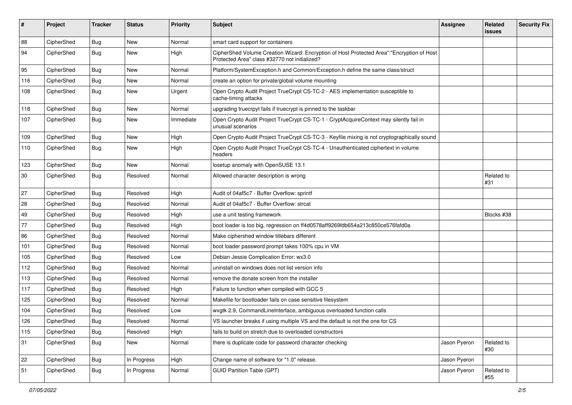| #      | Project    | <b>Tracker</b> | <b>Status</b> | <b>Priority</b> | Subject                                                                                                                                    | <b>Assignee</b> | Related<br><b>issues</b> | <b>Security Fix</b> |
|--------|------------|----------------|---------------|-----------------|--------------------------------------------------------------------------------------------------------------------------------------------|-----------------|--------------------------|---------------------|
| 88     | CipherShed | Bug            | New           | Normal          | smart card support for containers                                                                                                          |                 |                          |                     |
| 94     | CipherShed | <b>Bug</b>     | New           | High            | CipherShed Volume Creation Wizard: Encryption of Host Protected Area":"Encryption of Host<br>Protected Area" class #32770 not initialized? |                 |                          |                     |
| 95     | CipherShed | Bug            | <b>New</b>    | Normal          | Platform/SystemException.h and Common/Exception.h define the same class/struct                                                             |                 |                          |                     |
| 116    | CipherShed | <b>Bug</b>     | New           | Normal          | create an option for private/global volume mounting                                                                                        |                 |                          |                     |
| 108    | CipherShed | <b>Bug</b>     | New           | Urgent          | Open Crypto Audit Project TrueCrypt CS-TC-2 - AES implementation susceptible to<br>cache-timing attacks                                    |                 |                          |                     |
| 118    | CipherShed | <b>Bug</b>     | New           | Normal          | upgrading truecrpyt fails if truecrypt is pinned to the taskbar                                                                            |                 |                          |                     |
| 107    | CipherShed | <b>Bug</b>     | New           | Immediate       | Open Crypto Audit Project TrueCrypt CS-TC-1 - CryptAcquireContext may silently fail in<br>unusual scenarios                                |                 |                          |                     |
| 109    | CipherShed | <b>Bug</b>     | <b>New</b>    | High            | Open Crypto Audit Project TrueCrypt CS-TC-3 - Keyfile mixing is not cryptographically sound                                                |                 |                          |                     |
| 110    | CipherShed | Bug            | <b>New</b>    | High            | Open Crypto Audit Project TrueCrypt CS-TC-4 - Unauthenticated ciphertext in volume<br>headers                                              |                 |                          |                     |
| 123    | CipherShed | <b>Bug</b>     | New           | Normal          | losetup anomaly with OpenSUSE 13.1                                                                                                         |                 |                          |                     |
| $30\,$ | CipherShed | Bug            | Resolved      | Normal          | Allowed character description is wrong                                                                                                     |                 | Related to<br>#31        |                     |
| 27     | CipherShed | <b>Bug</b>     | Resolved      | High            | Audit of 04af5c7 - Buffer Overflow: sprintf                                                                                                |                 |                          |                     |
| 28     | CipherShed | <b>Bug</b>     | Resolved      | Normal          | Audit of 04af5c7 - Buffer Overflow: strcat                                                                                                 |                 |                          |                     |
| 49     | CipherShed | Bug            | Resolved      | High            | use a unit testing framework                                                                                                               |                 | Blocks #38               |                     |
| 77     | CipherShed | Bug            | Resolved      | High            | boot loader is too big, regression on ff4d0578aff9269fdb654a213c850ce576fafd0a                                                             |                 |                          |                     |
| 86     | CipherShed | <b>Bug</b>     | Resolved      | Normal          | Make ciphershed window titlebars different                                                                                                 |                 |                          |                     |
| 101    | CipherShed | <b>Bug</b>     | Resolved      | Normal          | boot loader password prompt takes 100% cpu in VM                                                                                           |                 |                          |                     |
| 105    | CipherShed | <b>Bug</b>     | Resolved      | Low             | Debian Jessie Complication Error: wx3.0                                                                                                    |                 |                          |                     |
| 112    | CipherShed | Bug            | Resolved      | Normal          | uninstall on windows does not list version info                                                                                            |                 |                          |                     |
| 113    | CipherShed | Bug            | Resolved      | Normal          | remove the donate screen from the installer                                                                                                |                 |                          |                     |
| 117    | CipherShed | <b>Bug</b>     | Resolved      | High            | Failure to function when compiled with GCC 5                                                                                               |                 |                          |                     |
| 125    | CipherShed | <b>Bug</b>     | Resolved      | Normal          | Makefile for bootloader fails on case sensitive filesystem                                                                                 |                 |                          |                     |
| 104    | CipherShed | <b>Bug</b>     | Resolved      | Low             | wxgtk 2.9, CommandLineInterface, ambiguous overloaded function calls                                                                       |                 |                          |                     |
| 126    | CipherShed | Bug            | Resolved      | Normal          | VS launcher breaks if using multiple VS and the default is not the one for CS                                                              |                 |                          |                     |
| 115    | CipherShed | <b>Bug</b>     | Resolved      | High            | fails to build on stretch due to overloaded constructors                                                                                   |                 |                          |                     |
| 31     | CipherShed | <b>Bug</b>     | New           | Normal          | there is duplicate code for password character checking                                                                                    | Jason Pyeron    | Related to<br>#30        |                     |
| 22     | CipherShed | <b>Bug</b>     | In Progress   | High            | Change name of software for "1.0" release.                                                                                                 | Jason Pyeron    |                          |                     |
| 51     | CipherShed | <b>Bug</b>     | In Progress   | Normal          | <b>GUID Partition Table (GPT)</b>                                                                                                          | Jason Pyeron    | Related to<br>#55        |                     |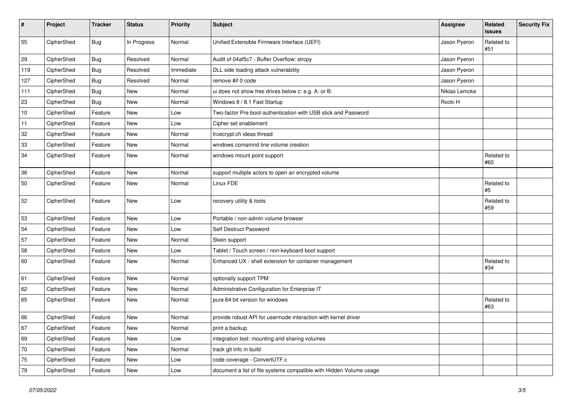| #   | Project    | <b>Tracker</b> | <b>Status</b> | <b>Priority</b> | <b>Subject</b>                                                      | Assignee      | <b>Related</b><br>issues | <b>Security Fix</b> |
|-----|------------|----------------|---------------|-----------------|---------------------------------------------------------------------|---------------|--------------------------|---------------------|
| 55  | CipherShed | Bug            | In Progress   | Normal          | Unified Extensible Firmware Interface (UEFI)                        | Jason Pyeron  | Related to<br>#51        |                     |
| 29  | CipherShed | <b>Bug</b>     | Resolved      | Normal          | Audit of 04af5c7 - Buffer Overflow: strcpy                          | Jason Pyeron  |                          |                     |
| 119 | CipherShed | <b>Bug</b>     | Resolved      | Immediate       | DLL side loading attack vulnerability                               | Jason Pyeron  |                          |                     |
| 127 | CipherShed | Bug            | Resolved      | Normal          | remove #if 0 code                                                   | Jason Pyeron  |                          |                     |
| 111 | CipherShed | <b>Bug</b>     | <b>New</b>    | Normal          | ui does not show free drives below c: e.g. A: or B:                 | Niklas Lemcke |                          |                     |
| 23  | CipherShed | <b>Bug</b>     | New           | Normal          | Windows 8 / 8.1 Fast Startup                                        | Rocki H       |                          |                     |
| 10  | CipherShed | Feature        | <b>New</b>    | Low             | Two-factor Pre-boot-authentication with USB stick and Password      |               |                          |                     |
| 11  | CipherShed | Feature        | New           | Low             | Cipher set enablement                                               |               |                          |                     |
| 32  | CipherShed | Feature        | New           | Normal          | truecrypt.ch ideas thread                                           |               |                          |                     |
| 33  | CipherShed | Feature        | <b>New</b>    | Normal          | windows comamnd line volume creation                                |               |                          |                     |
| 34  | CipherShed | Feature        | New           | Normal          | windows mount point support                                         |               | Related to<br>#60        |                     |
| 36  | CipherShed | Feature        | <b>New</b>    | Normal          | support multiple actors to open an encrypted volume                 |               |                          |                     |
| 50  | CipherShed | Feature        | New           | Normal          | Linux FDE                                                           |               | Related to<br>#5         |                     |
| 52  | CipherShed | Feature        | New           | Low             | recovery utility & tools                                            |               | Related to<br>#59        |                     |
| 53  | CipherShed | Feature        | New           | Low             | Portable / non-admin volume browser                                 |               |                          |                     |
| 54  | CipherShed | Feature        | New           | Low             | Self Destruct Password                                              |               |                          |                     |
| 57  | CipherShed | Feature        | New           | Normal          | Skein support                                                       |               |                          |                     |
| 58  | CipherShed | Feature        | <b>New</b>    | Low             | Tablet / Touch screen / non-keyboard boot support                   |               |                          |                     |
| 60  | CipherShed | Feature        | New           | Normal          | Enhanced UX - shell extension for container management              |               | Related to<br>#34        |                     |
| 61  | CipherShed | Feature        | New           | Normal          | optionally support TPM                                              |               |                          |                     |
| 62  | CipherShed | Feature        | New           | Normal          | Administrative Configuration for Enterprise IT                      |               |                          |                     |
| 65  | CipherShed | Feature        | New           | Normal          | pure 64 bit version for windows                                     |               | Related to<br>#63        |                     |
| 66  | CipherShed | Feature        | New           | Normal          | provide robust API for usermode interaction with kernel driver      |               |                          |                     |
| 67  | CipherShed | Feature        | New           | Normal          | print a backup                                                      |               |                          |                     |
| 69  | CipherShed | Feature        | New           | Low             | integration test: mounting and sharing volumes                      |               |                          |                     |
| 70  | CipherShed | Feature        | New           | Normal          | track git info in build                                             |               |                          |                     |
| 75  | CipherShed | Feature        | New           | Low             | code coverage - ConvertUTF.c                                        |               |                          |                     |
| 79  | CipherShed | Feature        | New           | Low             | document a list of file systems compatible with Hidden Volume usage |               |                          |                     |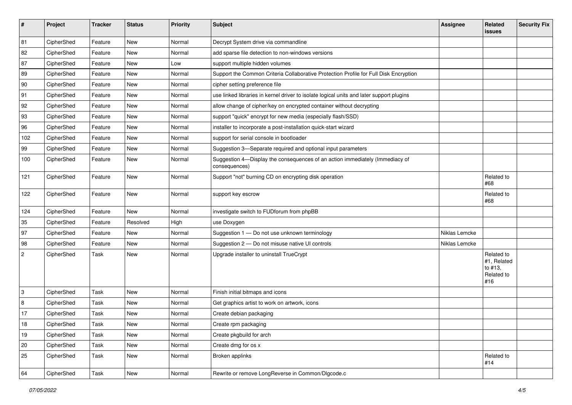| #              | Project    | <b>Tracker</b> | <b>Status</b> | <b>Priority</b> | <b>Subject</b>                                                                                | <b>Assignee</b> | Related<br><b>issues</b>                                  | <b>Security Fix</b> |
|----------------|------------|----------------|---------------|-----------------|-----------------------------------------------------------------------------------------------|-----------------|-----------------------------------------------------------|---------------------|
| 81             | CipherShed | Feature        | <b>New</b>    | Normal          | Decrypt System drive via commandline                                                          |                 |                                                           |                     |
| 82             | CipherShed | Feature        | New           | Normal          | add sparse file detection to non-windows versions                                             |                 |                                                           |                     |
| 87             | CipherShed | Feature        | New           | Low             | support multiple hidden volumes                                                               |                 |                                                           |                     |
| 89             | CipherShed | Feature        | New           | Normal          | Support the Common Criteria Collaborative Protection Profile for Full Disk Encryption         |                 |                                                           |                     |
| 90             | CipherShed | Feature        | New           | Normal          | cipher setting preference file                                                                |                 |                                                           |                     |
| 91             | CipherShed | Feature        | <b>New</b>    | Normal          | use linked libraries in kernel driver to isolate logical units and later support plugins      |                 |                                                           |                     |
| 92             | CipherShed | Feature        | New           | Normal          | allow change of cipher/key on encrypted container without decrypting                          |                 |                                                           |                     |
| 93             | CipherShed | Feature        | New           | Normal          | support "quick" encrypt for new media (especially flash/SSD)                                  |                 |                                                           |                     |
| 96             | CipherShed | Feature        | <b>New</b>    | Normal          | installer to incorporate a post-installation quick-start wizard                               |                 |                                                           |                     |
| 102            | CipherShed | Feature        | New           | Normal          | support for serial console in bootloader                                                      |                 |                                                           |                     |
| 99             | CipherShed | Feature        | New           | Normal          | Suggestion 3-Separate required and optional input parameters                                  |                 |                                                           |                     |
| 100            | CipherShed | Feature        | New           | Normal          | Suggestion 4-Display the consequences of an action immediately (Immediacy of<br>consequences) |                 |                                                           |                     |
| 121            | CipherShed | Feature        | New           | Normal          | Support "not" burning CD on encrypting disk operation                                         |                 | Related to<br>#68                                         |                     |
| 122            | CipherShed | Feature        | New           | Normal          | support key escrow                                                                            |                 | Related to<br>#68                                         |                     |
| 124            | CipherShed | Feature        | <b>New</b>    | Normal          | investigate switch to FUDforum from phpBB                                                     |                 |                                                           |                     |
| 35             | CipherShed | Feature        | Resolved      | High            | use Doxygen                                                                                   |                 |                                                           |                     |
| 97             | CipherShed | Feature        | New           | Normal          | Suggestion 1 - Do not use unknown terminology                                                 | Niklas Lemcke   |                                                           |                     |
| 98             | CipherShed | Feature        | New           | Normal          | Suggestion 2 - Do not misuse native UI controls                                               | Niklas Lemcke   |                                                           |                     |
| $\overline{2}$ | CipherShed | Task           | New           | Normal          | Upgrade installer to uninstall TrueCrypt                                                      |                 | Related to<br>#1, Related<br>to #13,<br>Related to<br>#16 |                     |
| 3              | CipherShed | Task           | New           | Normal          | Finish initial bitmaps and icons                                                              |                 |                                                           |                     |
| 8              | CipherShed | Task           | New           | Normal          | Get graphics artist to work on artwork, icons                                                 |                 |                                                           |                     |
| 17             | CipherShed | Task           | New           | Normal          | Create debian packaging                                                                       |                 |                                                           |                     |
| $18\,$         | CipherShed | Task           | New           | Normal          | Create rpm packaging                                                                          |                 |                                                           |                     |
| 19             | CipherShed | Task           | New           | Normal          | Create pkgbuild for arch                                                                      |                 |                                                           |                     |
| 20             | CipherShed | Task           | New           | Normal          | Create dmg for os x                                                                           |                 |                                                           |                     |
| 25             | CipherShed | Task           | New           | Normal          | Broken applinks                                                                               |                 | Related to<br>#14                                         |                     |
| 64             | CipherShed | Task           | New           | Normal          | Rewrite or remove LongReverse in Common/Dlgcode.c                                             |                 |                                                           |                     |